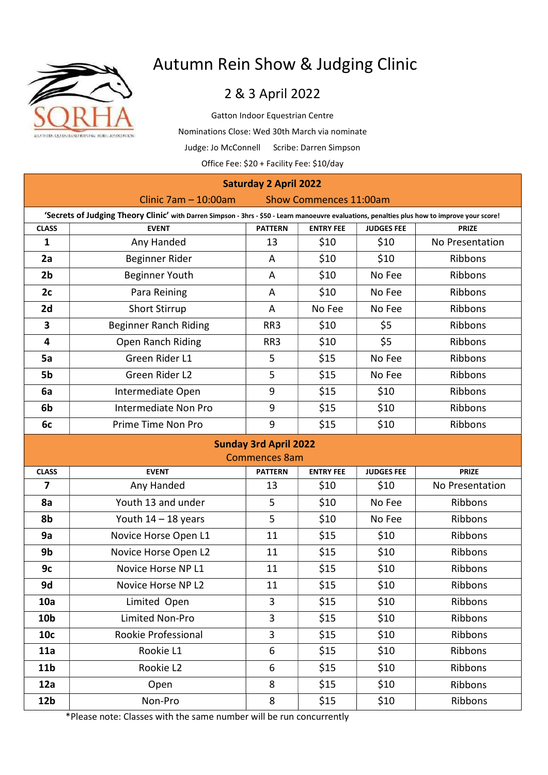

# Autumn Rein Show & Judging Clinic

## 2 & 3 April 2022

Gatton Indoor Equestrian Centre Nominations Close: Wed 30th March via nominate Judge: Jo McConnell Scribe: Darren Simpson Office Fee: \$20 + Facility Fee: \$10/day

| <b>Saturday 2 April 2022</b>                                                                                                                  |                              |                      |                  |                   |                 |
|-----------------------------------------------------------------------------------------------------------------------------------------------|------------------------------|----------------------|------------------|-------------------|-----------------|
| Clinic $7am - 10:00am$<br>Show Commences 11:00am                                                                                              |                              |                      |                  |                   |                 |
| 'Secrets of Judging Theory Clinic' with Darren Simpson - 3hrs - \$50 - Learn manoeuvre evaluations, penalties plus how to improve your score! |                              |                      |                  |                   |                 |
| <b>CLASS</b>                                                                                                                                  | <b>EVENT</b>                 | <b>PATTERN</b>       | <b>ENTRY FEE</b> | <b>JUDGES FEE</b> | <b>PRIZE</b>    |
| $\mathbf{1}$                                                                                                                                  | Any Handed                   | 13                   | \$10             | \$10              | No Presentation |
| 2a                                                                                                                                            | Beginner Rider               | A                    | \$10             | \$10              | Ribbons         |
| 2 <sub>b</sub>                                                                                                                                | <b>Beginner Youth</b>        | A                    | \$10             | No Fee            | Ribbons         |
| 2c                                                                                                                                            | Para Reining                 | A                    | \$10             | No Fee            | Ribbons         |
| 2d                                                                                                                                            | <b>Short Stirrup</b>         | A                    | No Fee           | No Fee            | Ribbons         |
| 3                                                                                                                                             | <b>Beginner Ranch Riding</b> | RR3                  | \$10             | \$5               | Ribbons         |
| 4                                                                                                                                             | Open Ranch Riding            | RR3                  | \$10             | \$5               | Ribbons         |
| 5a                                                                                                                                            | Green Rider L1               | 5                    | \$15             | No Fee            | Ribbons         |
| 5b                                                                                                                                            | Green Rider L2               | 5                    | \$15             | No Fee            | Ribbons         |
| 6a                                                                                                                                            | Intermediate Open            | 9                    | \$15             | \$10              | Ribbons         |
| 6b                                                                                                                                            | Intermediate Non Pro         | 9                    | \$15             | \$10              | Ribbons         |
| 6c                                                                                                                                            | Prime Time Non Pro           | 9                    | \$15             | \$10              | Ribbons         |
| <b>Sunday 3rd April 2022</b>                                                                                                                  |                              |                      |                  |                   |                 |
|                                                                                                                                               |                              |                      |                  |                   |                 |
|                                                                                                                                               |                              | <b>Commences 8am</b> |                  |                   |                 |
| <b>CLASS</b>                                                                                                                                  | <b>EVENT</b>                 | <b>PATTERN</b>       | <b>ENTRY FEE</b> | <b>JUDGES FEE</b> | <b>PRIZE</b>    |
| $\overline{7}$                                                                                                                                | Any Handed                   | 13                   | \$10             | \$10              | No Presentation |
| 8a                                                                                                                                            | Youth 13 and under           | 5                    | \$10             | No Fee            | Ribbons         |
| 8b                                                                                                                                            | Youth $14 - 18$ years        | 5                    | \$10             | No Fee            | Ribbons         |
| 9a                                                                                                                                            | Novice Horse Open L1         | 11                   | \$15             | \$10              | Ribbons         |
| 9b                                                                                                                                            | Novice Horse Open L2         | 11                   | \$15             | \$10              | Ribbons         |
| 9c                                                                                                                                            | Novice Horse NP L1           | 11                   | \$15             | \$10              | Ribbons         |
| 9d                                                                                                                                            | Novice Horse NP L2           | 11                   | \$15             | \$10              | Ribbons         |
| 10a                                                                                                                                           | Limited Open                 | $\overline{3}$       | \$15             | \$10              | Ribbons         |
| 10 <sub>b</sub>                                                                                                                               | Limited Non-Pro              | 3                    | \$15             | \$10              | Ribbons         |
| 10 <sub>c</sub>                                                                                                                               | Rookie Professional          | 3                    | \$15             | \$10              | Ribbons         |
| 11a                                                                                                                                           | Rookie L1                    | 6                    | \$15             | \$10              | Ribbons         |
| 11 <sub>b</sub>                                                                                                                               | Rookie L2                    | 6                    | \$15             | \$10              | Ribbons         |
| 12a                                                                                                                                           | Open                         | 8                    | \$15             | \$10              | Ribbons         |

\*Please note: Classes with the same number will be run concurrently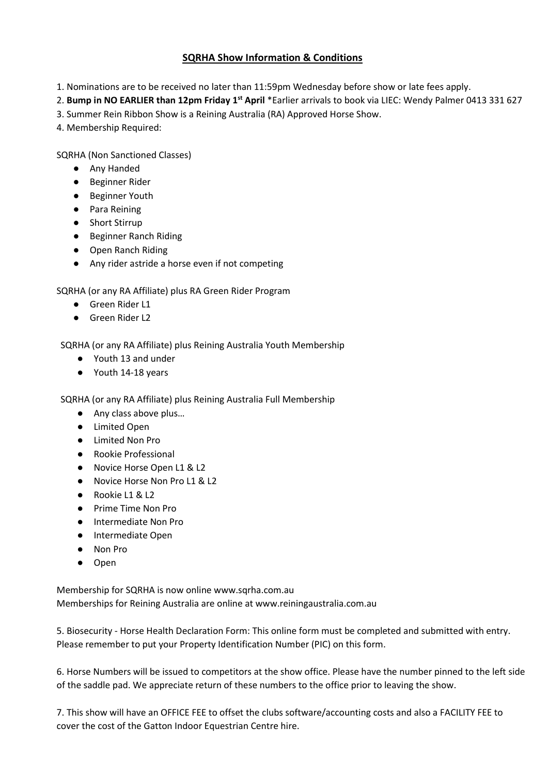### SQRHA Show Information & Conditions

1. Nominations are to be received no later than 11:59pm Wednesday before show or late fees apply.

2. Bump in NO EARLIER than 12pm Friday 1<sup>st</sup> April \*Earlier arrivals to book via LIEC: Wendy Palmer 0413 331 627

- 3. Summer Rein Ribbon Show is a Reining Australia (RA) Approved Horse Show.
- 4. Membership Required:

SQRHA (Non Sanctioned Classes)

- Any Handed
- Beginner Rider
- Beginner Youth
- Para Reining
- Short Stirrup
- Beginner Ranch Riding
- Open Ranch Riding
- Any rider astride a horse even if not competing

SQRHA (or any RA Affiliate) plus RA Green Rider Program

- Green Rider L1
- Green Rider L2

SQRHA (or any RA Affiliate) plus Reining Australia Youth Membership

- Youth 13 and under
- Youth 14-18 years

SQRHA (or any RA Affiliate) plus Reining Australia Full Membership

- Any class above plus...
- Limited Open
- Limited Non Pro
- Rookie Professional
- Novice Horse Open L1 & L2
- Novice Horse Non Pro L1 & L2
- Rookie L1 & L2
- Prime Time Non Pro
- Intermediate Non Pro
- Intermediate Open
- Non Pro
- Open

Membership for SQRHA is now online www.sqrha.com.au Memberships for Reining Australia are online at www.reiningaustralia.com.au

5. Biosecurity - Horse Health Declaration Form: This online form must be completed and submitted with entry. Please remember to put your Property Identification Number (PIC) on this form.

6. Horse Numbers will be issued to competitors at the show office. Please have the number pinned to the left side of the saddle pad. We appreciate return of these numbers to the office prior to leaving the show.

7. This show will have an OFFICE FEE to offset the clubs software/accounting costs and also a FACILITY FEE to cover the cost of the Gatton Indoor Equestrian Centre hire.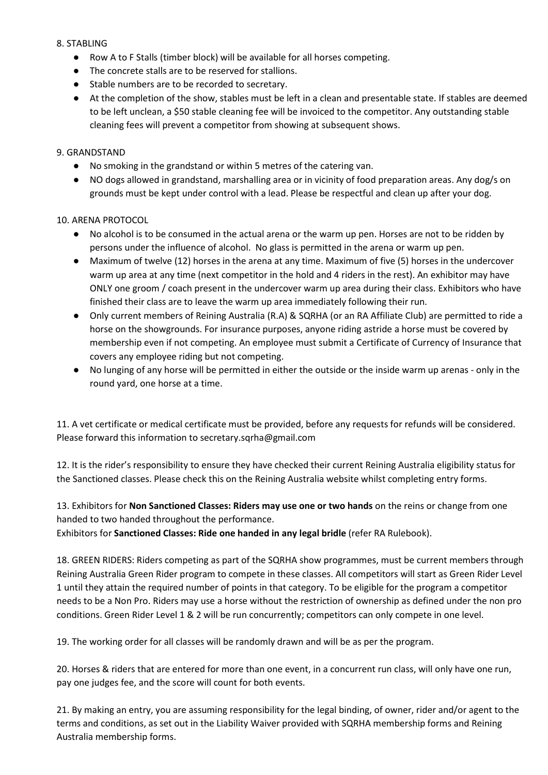#### 8. STABLING

- Row A to F Stalls (timber block) will be available for all horses competing.
- The concrete stalls are to be reserved for stallions.
- Stable numbers are to be recorded to secretary.
- At the completion of the show, stables must be left in a clean and presentable state. If stables are deemed to be left unclean, a \$50 stable cleaning fee will be invoiced to the competitor. Any outstanding stable cleaning fees will prevent a competitor from showing at subsequent shows.

#### 9. GRANDSTAND

- No smoking in the grandstand or within 5 metres of the catering van.
- NO dogs allowed in grandstand, marshalling area or in vicinity of food preparation areas. Any dog/s on grounds must be kept under control with a lead. Please be respectful and clean up after your dog.

#### 10. ARENA PROTOCOL

- No alcohol is to be consumed in the actual arena or the warm up pen. Horses are not to be ridden by persons under the influence of alcohol. No glass is permitted in the arena or warm up pen.
- Maximum of twelve (12) horses in the arena at any time. Maximum of five (5) horses in the undercover warm up area at any time (next competitor in the hold and 4 riders in the rest). An exhibitor may have ONLY one groom / coach present in the undercover warm up area during their class. Exhibitors who have finished their class are to leave the warm up area immediately following their run.
- Only current members of Reining Australia (R.A) & SQRHA (or an RA Affiliate Club) are permitted to ride a horse on the showgrounds. For insurance purposes, anyone riding astride a horse must be covered by membership even if not competing. An employee must submit a Certificate of Currency of Insurance that covers any employee riding but not competing.
- No lunging of any horse will be permitted in either the outside or the inside warm up arenas only in the round yard, one horse at a time.

11. A vet certificate or medical certificate must be provided, before any requests for refunds will be considered. Please forward this information to secretary.sqrha@gmail.com

12. It is the rider's responsibility to ensure they have checked their current Reining Australia eligibility status for the Sanctioned classes. Please check this on the Reining Australia website whilst completing entry forms.

13. Exhibitors for Non Sanctioned Classes: Riders may use one or two hands on the reins or change from one handed to two handed throughout the performance.

Exhibitors for Sanctioned Classes: Ride one handed in any legal bridle (refer RA Rulebook).

18. GREEN RIDERS: Riders competing as part of the SQRHA show programmes, must be current members through Reining Australia Green Rider program to compete in these classes. All competitors will start as Green Rider Level 1 until they attain the required number of points in that category. To be eligible for the program a competitor needs to be a Non Pro. Riders may use a horse without the restriction of ownership as defined under the non pro conditions. Green Rider Level 1 & 2 will be run concurrently; competitors can only compete in one level.

19. The working order for all classes will be randomly drawn and will be as per the program.

20. Horses & riders that are entered for more than one event, in a concurrent run class, will only have one run, pay one judges fee, and the score will count for both events.

21. By making an entry, you are assuming responsibility for the legal binding, of owner, rider and/or agent to the terms and conditions, as set out in the Liability Waiver provided with SQRHA membership forms and Reining Australia membership forms.